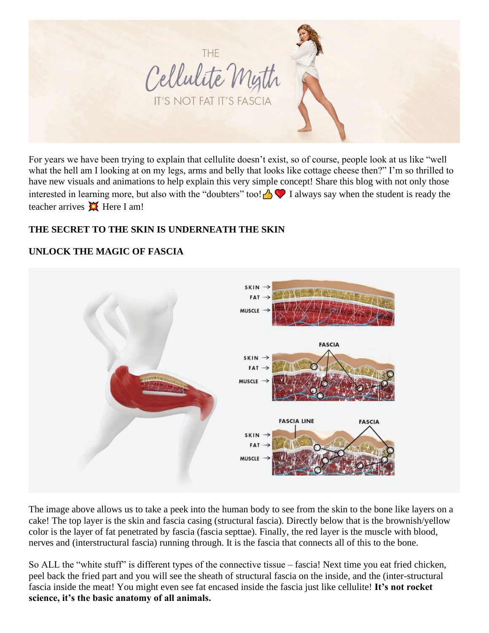

For years we have been trying to explain that cellulite doesn't exist, so of course, people look at us like "well what the hell am I looking at on my legs, arms and belly that looks like cottage cheese then?" I'm so thrilled to have new visuals and animations to help explain this very simple concept! Share this blog with not only those interested in learning more, but also with the "doubters" too! $\bigcap$  I always say when the student is ready the teacher arrives  $\blacksquare$  Here I am!

# **THE SECRET TO THE SKIN IS UNDERNEATH THE SKIN**

# **UNLOCK THE MAGIC OF FASCIA**



The image above allows us to take a peek into the human body to see from the skin to the bone like layers on a cake! The top layer is the skin and fascia casing (structural fascia). Directly below that is the brownish/yellow color is the layer of fat penetrated by fascia (fascia septtae). Finally, the red layer is the muscle with blood, nerves and (interstructural fascia) running through. It is the fascia that connects all of this to the bone.

So ALL the "white stuff" is different types of the connective tissue – fascia! Next time you eat fried chicken, peel back the fried part and you will see the sheath of structural fascia on the inside, and the (inter-structural fascia inside the meat! You might even see fat encased inside the fascia just like cellulite! **It's not rocket science, it's the basic anatomy of all animals.**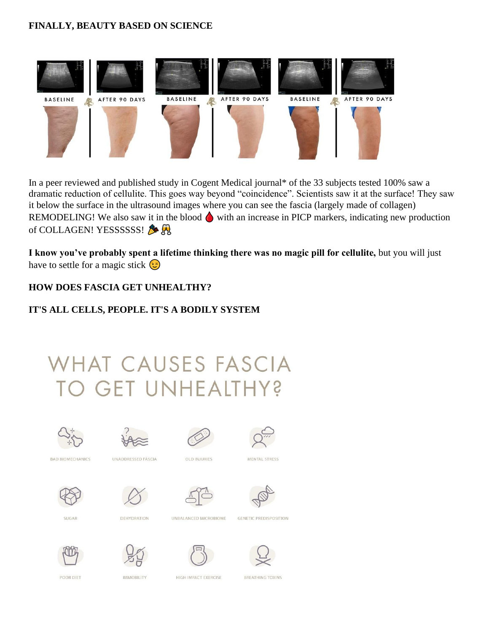#### **FINALLY, BEAUTY BASED ON SCIENCE**



In a peer reviewed and published study in Cogent Medical journal\* of the 33 subjects tested 100% saw a dramatic reduction of cellulite. This goes way beyond "coincidence". Scientists saw it at the surface! They saw it below the surface in the ultrasound images where you can see the fascia (largely made of collagen) REMODELING! We also saw it in the blood  $\bigcirc$  with an increase in PICP markers, indicating new production of COLLAGEN! YESSSSSS!

**I know you've probably spent a lifetime thinking there was no magic pill for cellulite,** but you will just have to settle for a magic stick  $\odot$ 

#### **HOW DOES FASCIA GET UNHEALTHY?**

# **IT'S ALL CELLS, PEOPLE. IT'S A BODILY SYSTEM**

# VHAT CAUSES FASCIA O GET UNHEALTHY?









**BAD BIOMECHANICS** 

UNADDRESSED FASCIA

OLD INJURIES















**DEHYDRATION** 



**GENETIC PREDISPOSITION** 



POOR DIET

SUGAR







**BREATHING TOXINS** 

**IMMOBILITY** 

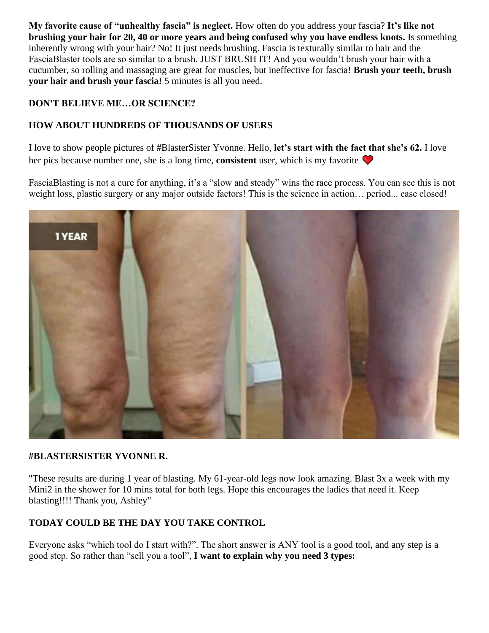**My favorite cause of "unhealthy fascia" is neglect.** How often do you address your fascia? **It's like not brushing your hair for 20, 40 or more years and being confused why you have endless knots.** Is something inherently wrong with your hair? No! It just needs brushing. Fascia is texturally similar to hair and the FasciaBlaster tools are so similar to a brush. JUST BRUSH IT! And you wouldn't brush your hair with a cucumber, so rolling and massaging are great for muscles, but ineffective for fascia! **Brush your teeth, brush your hair and brush your fascia!** 5 minutes is all you need.

#### **DON'T BELIEVE ME…OR SCIENCE?**

# **HOW ABOUT HUNDREDS OF THOUSANDS OF USERS**

I love to show people pictures of #BlasterSister Yvonne. Hello, **let's start with the fact that she's 62.** I love her pics because number one, she is a long time, **consistent** user, which is my favorite

FasciaBlasting is not a cure for anything, it's a "slow and steady" wins the race process. You can see this is not weight loss, plastic surgery or any major outside factors! This is the science in action... period... case closed!



#### **#BLASTERSISTER YVONNE R.**

"These results are during 1 year of blasting. My 61-year-old legs now look amazing. Blast 3x a week with my Mini2 in the shower for 10 mins total for both legs. Hope this encourages the ladies that need it. Keep blasting!!!! Thank you, Ashley"

# **TODAY COULD BE THE DAY YOU TAKE CONTROL**

Everyone asks "which tool do I start with?". The short answer is ANY tool is a good tool, and any step is a good step. So rather than "sell you a tool", **I want to explain why you need 3 types:**